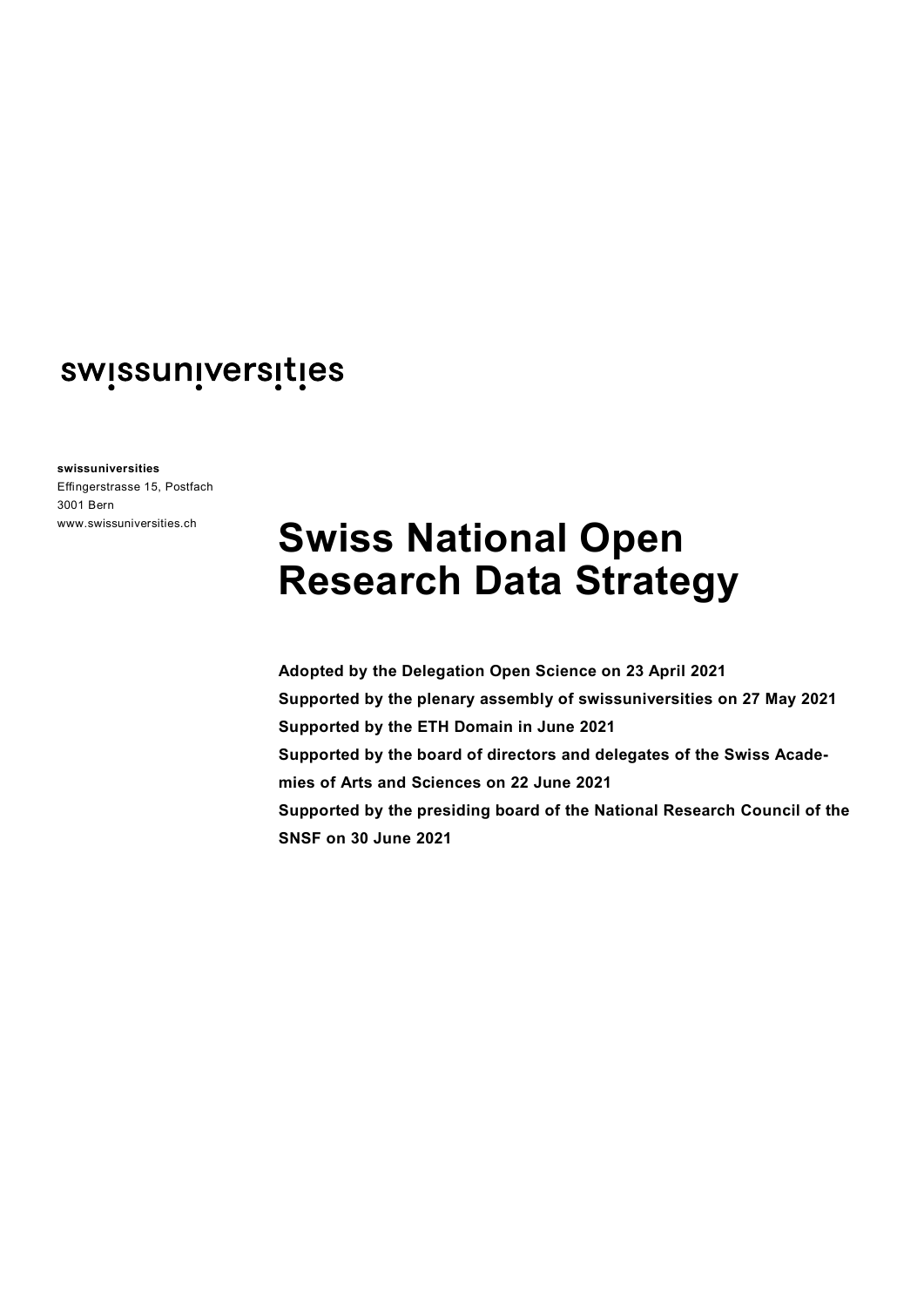**swissuniversities**

Effingerstrasse 15, Postfach 3001 Bern www.swissuniversities.ch

# **Swiss National Open Research Data Strategy**

**Adopted by the Delegation Open Science on 23 April 2021 Supported by the plenary assembly of swissuniversities on 27 May 2021 Supported by the ETH Domain in June 2021 Supported by the board of directors and delegates of the Swiss Academies of Arts and Sciences on 22 June 2021 Supported by the presiding board of the National Research Council of the SNSF on 30 June 2021**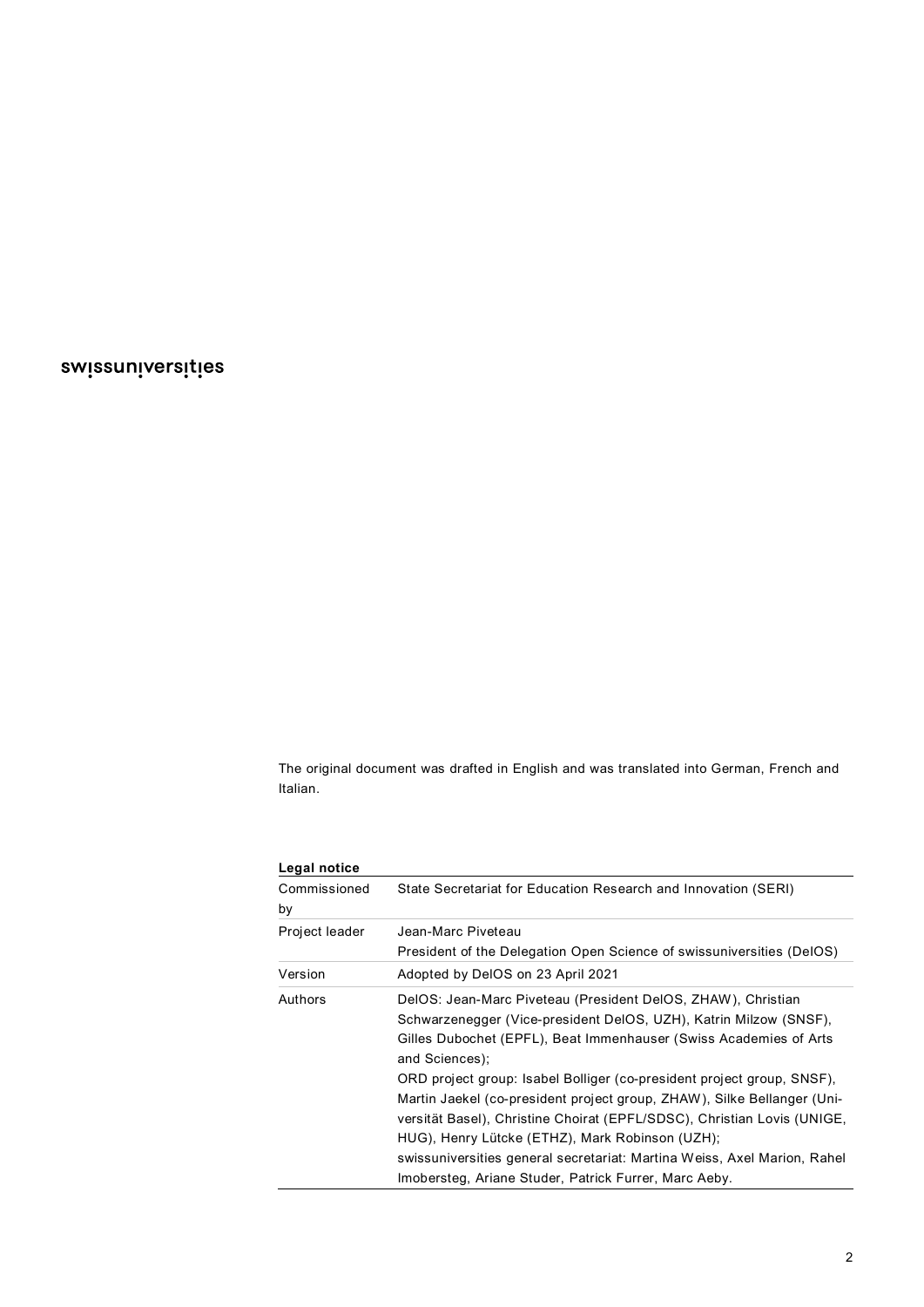The original document was drafted in English and was translated into German, French and Italian.

| Legal notice       |                                                                                                                                                                                                                                                                                                                                                                                                                                                                                                             |  |  |  |
|--------------------|-------------------------------------------------------------------------------------------------------------------------------------------------------------------------------------------------------------------------------------------------------------------------------------------------------------------------------------------------------------------------------------------------------------------------------------------------------------------------------------------------------------|--|--|--|
| Commissioned<br>by | State Secretariat for Education Research and Innovation (SERI)                                                                                                                                                                                                                                                                                                                                                                                                                                              |  |  |  |
| Project leader     | Jean-Marc Piveteau<br>President of the Delegation Open Science of swissuniversities (DelOS)                                                                                                                                                                                                                                                                                                                                                                                                                 |  |  |  |
| Version            | Adopted by DelOS on 23 April 2021                                                                                                                                                                                                                                                                                                                                                                                                                                                                           |  |  |  |
| Authors            | DelOS: Jean-Marc Piveteau (President DelOS, ZHAW), Christian<br>Schwarzenegger (Vice-president DelOS, UZH), Katrin Milzow (SNSF),<br>Gilles Dubochet (EPFL), Beat Immenhauser (Swiss Academies of Arts<br>and Sciences);<br>ORD project group: Isabel Bolliger (co-president project group, SNSF),<br>Martin Jaekel (co-president project group, ZHAW), Silke Bellanger (Uni-<br>versität Basel), Christine Choirat (EPFL/SDSC), Christian Lovis (UNIGE,<br>HUG), Henry Lütcke (ETHZ), Mark Robinson (UZH); |  |  |  |
|                    | swissuniversities general secretariat: Martina Weiss, Axel Marion, Rahel                                                                                                                                                                                                                                                                                                                                                                                                                                    |  |  |  |
|                    | Imobersteg, Ariane Studer, Patrick Furrer, Marc Aeby.                                                                                                                                                                                                                                                                                                                                                                                                                                                       |  |  |  |

**Legal notice**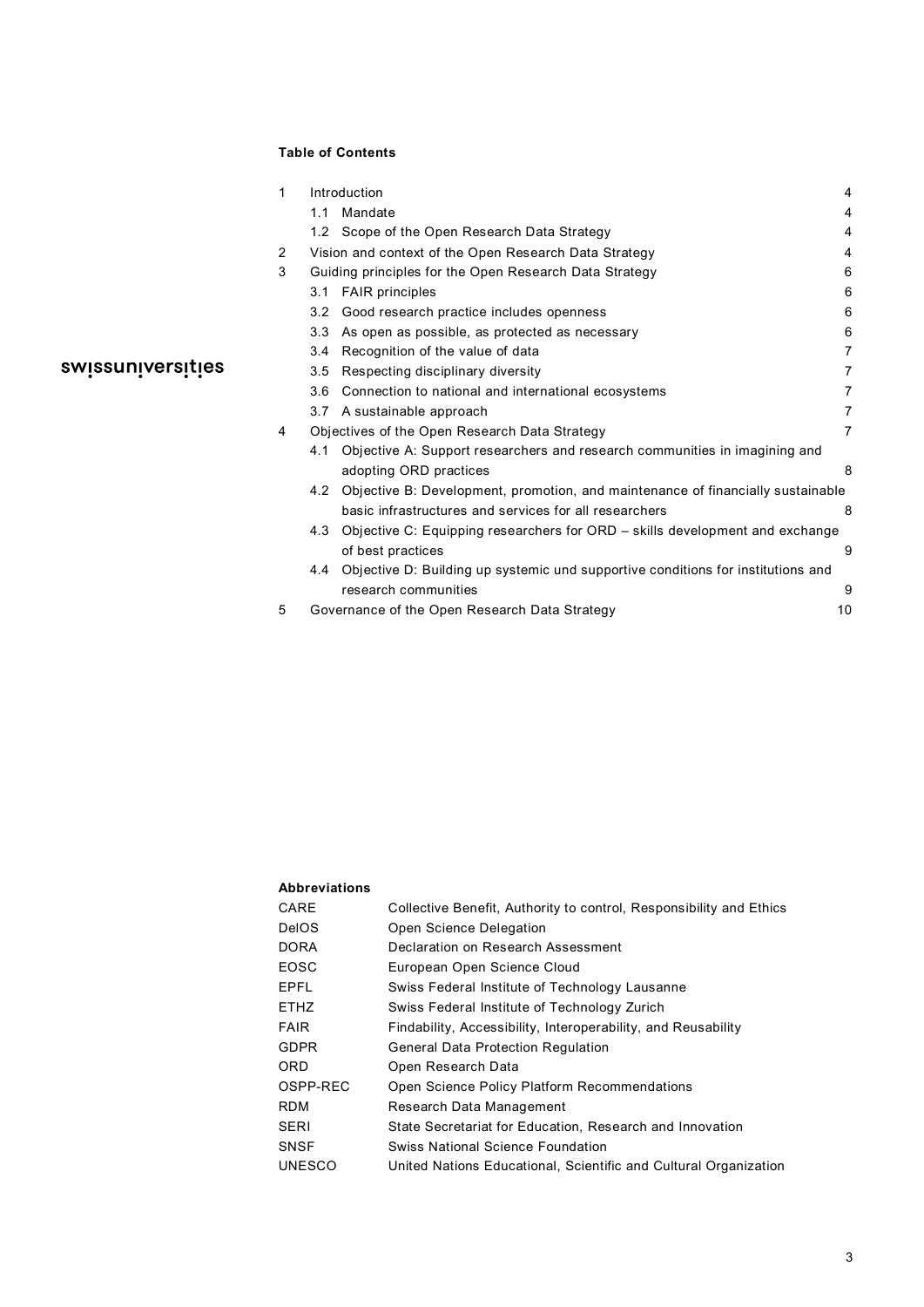## **Table of Contents**

| $\mathbf{1}$ |                                                        | Introduction                                                                     |                |  |
|--------------|--------------------------------------------------------|----------------------------------------------------------------------------------|----------------|--|
|              | 1.1                                                    | Mandate                                                                          | 4              |  |
|              |                                                        | 1.2 Scope of the Open Research Data Strategy                                     | 4              |  |
| 2            | Vision and context of the Open Research Data Strategy  |                                                                                  | 4              |  |
| 3            | Guiding principles for the Open Research Data Strategy |                                                                                  | 6              |  |
|              | 3.1                                                    | <b>FAIR</b> principles                                                           | 6              |  |
|              | 3.2                                                    | Good research practice includes openness                                         | 6              |  |
|              | 3.3                                                    | As open as possible, as protected as necessary                                   | 6              |  |
|              | 3.4                                                    | Recognition of the value of data                                                 | $\overline{7}$ |  |
|              | 3.5                                                    | Respecting disciplinary diversity                                                | 7              |  |
|              | 3.6                                                    | Connection to national and international ecosystems                              | $\overline{7}$ |  |
|              | 3.7                                                    | A sustainable approach                                                           | $\overline{7}$ |  |
| 4            | Objectives of the Open Research Data Strategy          |                                                                                  |                |  |
|              | 4.1                                                    | Objective A: Support researchers and research communities in imagining and       |                |  |
|              |                                                        | adopting ORD practices                                                           | 8              |  |
|              | 4.2                                                    | Objective B: Development, promotion, and maintenance of financially sustainable  |                |  |
|              |                                                        | basic infrastructures and services for all researchers                           | 8              |  |
|              | 4.3                                                    | Objective C: Equipping researchers for ORD – skills development and exchange     |                |  |
|              |                                                        | of best practices                                                                | 9              |  |
|              | 4.4                                                    | Objective D: Building up systemic und supportive conditions for institutions and |                |  |
|              |                                                        | research communities                                                             | 9              |  |
| 5            |                                                        | Governance of the Open Research Data Strategy<br>10                              |                |  |

# swissuniversities

#### **Abbreviations**

| CARE          | Collective Benefit, Authority to control, Responsibility and Ethics |
|---------------|---------------------------------------------------------------------|
|               |                                                                     |
| <b>DelOS</b>  | Open Science Delegation                                             |
| <b>DORA</b>   | Declaration on Research Assessment                                  |
| EOSC          | European Open Science Cloud                                         |
| EPFL          | Swiss Federal Institute of Technology Lausanne                      |
| <b>ETHZ</b>   | Swiss Federal Institute of Technology Zurich                        |
| <b>FAIR</b>   | Findability, Accessibility, Interoperability, and Reusability       |
| <b>GDPR</b>   | <b>General Data Protection Regulation</b>                           |
| 0RD           | Open Research Data                                                  |
| OSPP-REC      | <b>Open Science Policy Platform Recommendations</b>                 |
| <b>RDM</b>    | Research Data Management                                            |
| SERI          | State Secretariat for Education, Research and Innovation            |
| <b>SNSF</b>   | <b>Swiss National Science Foundation</b>                            |
| <b>UNESCO</b> | United Nations Educational, Scientific and Cultural Organization    |
|               |                                                                     |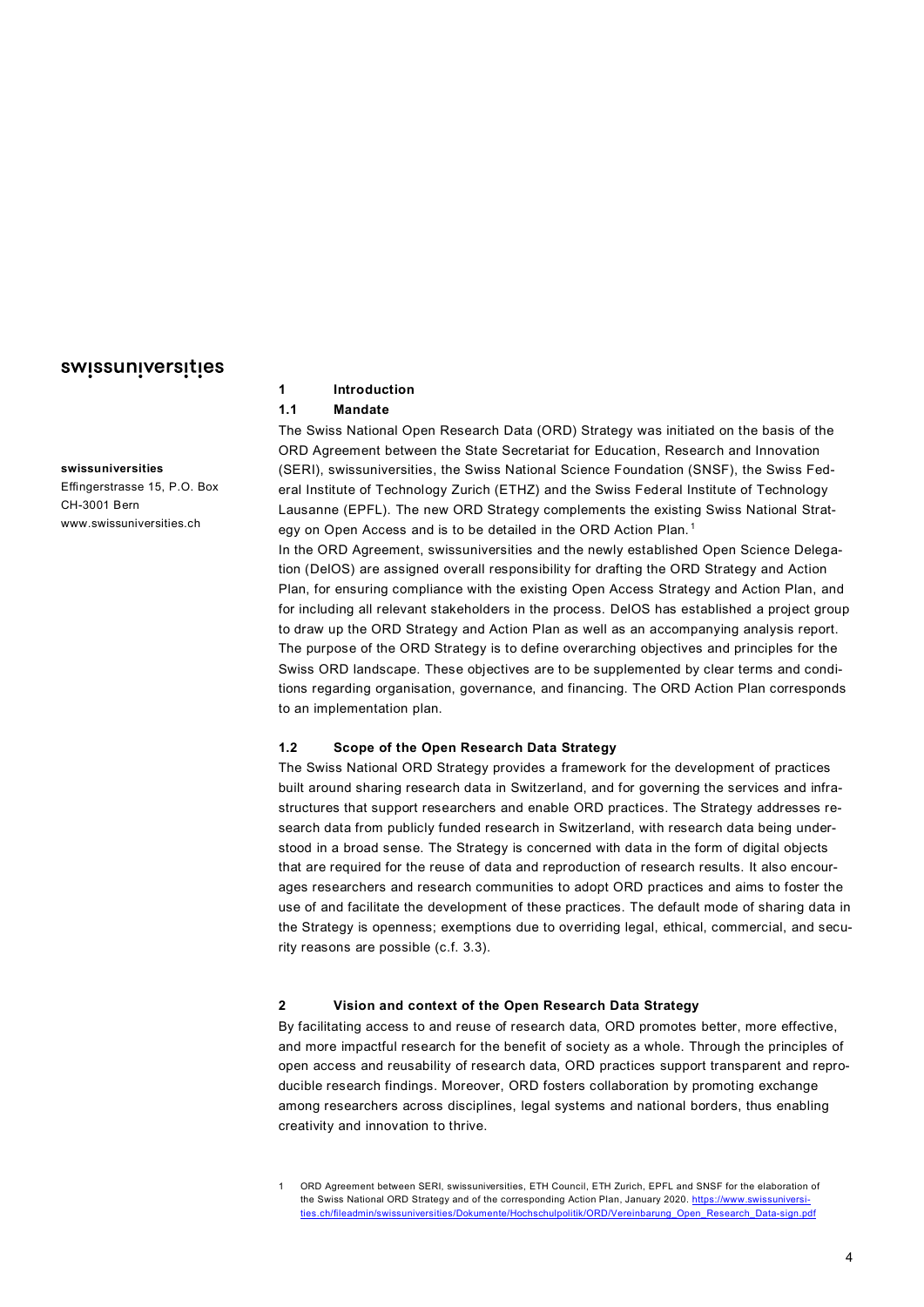# **swissuniversities**

Effingerstrasse 15, P.O. Box CH-3001 Bern www.swissuniversities.ch

## <span id="page-3-0"></span>**1 Introduction**

#### <span id="page-3-1"></span>**1.1 Mandate**

The Swiss National Open Research Data (ORD) Strategy was initiated on the basis of the ORD Agreement between the State Secretariat for Education, Research and Innovation (SERI), swissuniversities, the Swiss National Science Foundation (SNSF), the Swiss Federal Institute of Technology Zurich (ETHZ) and the Swiss Federal Institute of Technology Lausanne (EPFL). The new ORD Strategy complements the existing Swiss National Strat-egy on Open Access and is to be detailed in the ORD Action Plan.<sup>[1](#page-3-4)</sup> In the ORD Agreement, swissuniversities and the newly established Open Science Delegation (DelOS) are assigned overall responsibility for drafting the ORD Strategy and Action Plan, for ensuring compliance with the existing Open Access Strategy and Action Plan, and for including all relevant stakeholders in the process. DelOS has established a project group to draw up the ORD Strategy and Action Plan as well as an accompanying analysis report. The purpose of the ORD Strategy is to define overarching objectives and principles for the Swiss ORD landscape. These objectives are to be supplemented by clear terms and conditions regarding organisation, governance, and financing. The ORD Action Plan corresponds to an implementation plan.

#### <span id="page-3-2"></span>**1.2 Scope of the Open Research Data Strategy**

The Swiss National ORD Strategy provides a framework for the development of practices built around sharing research data in Switzerland, and for governing the services and infrastructures that support researchers and enable ORD practices. The Strategy addresses research data from publicly funded research in Switzerland, with research data being understood in a broad sense. The Strategy is concerned with data in the form of digital objects that are required for the reuse of data and reproduction of research results. It also encourages researchers and research communities to adopt ORD practices and aims to foster the use of and facilitate the development of these practices. The default mode of sharing data in the Strategy is openness; exemptions due to overriding legal, ethical, commercial, and security reasons are possible (c.f. 3.3).

#### <span id="page-3-3"></span>**2 Vision and context of the Open Research Data Strategy**

By facilitating access to and reuse of research data, ORD promotes better, more effective, and more impactful research for the benefit of society as a whole. Through the principles of open access and reusability of research data, ORD practices support transparent and reproducible research findings. Moreover, ORD fosters collaboration by promoting exchange among researchers across disciplines, legal systems and national borders, thus enabling creativity and innovation to thrive.

<span id="page-3-4"></span><sup>1</sup> ORD Agreement between SERI, swissuniversities, ETH Council, ETH Zurich, EPFL and SNSF for the elaboration of the Swiss National ORD Strategy and of the corresponding Action Plan, January 2020. [https://www.swissuniversi](https://www.swissuniversities.ch/fileadmin/swissuniversities/Dokumente/Hochschulpolitik/ORD/Vereinbarung_Open_Research_Data-sign.pdf)[ties.ch/fileadmin/swissuniversities/Dokumente/Hochschulpolitik/ORD/Vereinbarung\\_Open\\_Research\\_Data-sign.pdf](https://www.swissuniversities.ch/fileadmin/swissuniversities/Dokumente/Hochschulpolitik/ORD/Vereinbarung_Open_Research_Data-sign.pdf)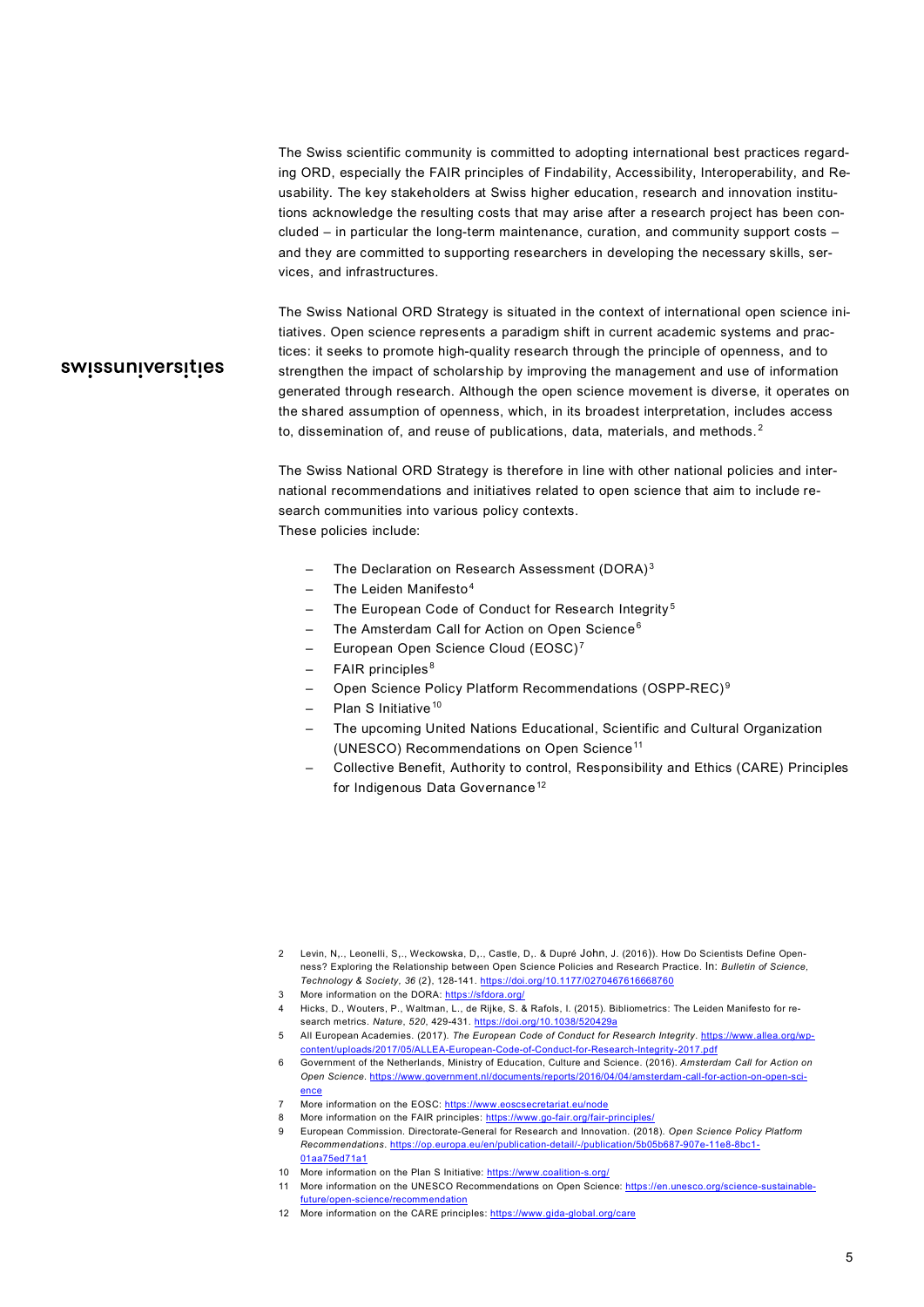The Swiss scientific community is committed to adopting international best practices regarding ORD, especially the FAIR principles of Findability, Accessibility, Interoperability, and Reusability. The key stakeholders at Swiss higher education, research and innovation institutions acknowledge the resulting costs that may arise after a research project has been concluded – in particular the long-term maintenance, curation, and community support costs – and they are committed to supporting researchers in developing the necessary skills, services, and infrastructures.

# swissuniversities

The Swiss National ORD Strategy is situated in the context of international open science initiatives. Open science represents a paradigm shift in current academic systems and practices: it seeks to promote high-quality research through the principle of openness, and to strengthen the impact of scholarship by improving the management and use of information generated through research. Although the open science movement is diverse, it operates on the shared assumption of openness, which, in its broadest interpretation, includes access to, dissemination of, and reuse of publications, data, materials, and methods.<sup>[2](#page-4-0)</sup>

The Swiss National ORD Strategy is therefore in line with other national policies and international recommendations and initiatives related to open science that aim to include research communities into various policy contexts. These policies include:

- The Declaration on Research Assessment (DORA)<sup>[3](#page-4-1)</sup>
- The Leiden Manifesto $4$
- The European Code of Conduct for Research Integrity<sup>[5](#page-4-3)</sup>
- The Amsterdam Call for Action on Open Science<sup>[6](#page-4-4)</sup>
- European Open Science Cloud (EOSC) [7](#page-4-5)
- FAIR principles<sup>[8](#page-4-6)</sup>
- Open Science Policy Platform Recommendations (OSPP-REC) [9](#page-4-7)
- Plan S Initiative<sup>[10](#page-4-8)</sup>
- The upcoming United Nations Educational, Scientific and Cultural Organization (UNESCO) Recommendations on Open Science<sup>[11](#page-4-9)</sup>
- Collective Benefit, Authority to control, Responsibility and Ethics (CARE) Principles for Indigenous Data Governance<sup>[12](#page-4-10)</sup>

- <span id="page-4-2"></span><span id="page-4-1"></span>3 More information on the DORA:<https://sfdora.org/>
- 4 Hicks, D., Wouters, P., Waltman, L., de Rijke, S. & Rafols, I. (2015). Bibliometrics: The Leiden Manifesto for research metrics. *Nature*, *520*, 429-431[. https://doi.org/10.1038/520429a](https://doi.org/10.1038/520429a)
- <span id="page-4-4"></span><span id="page-4-3"></span>5 All European Academies. (2017). *The European Code of Conduct for Research Integrity*[. https://www.allea.org/wp](https://www.allea.org/wp-content/uploads/2017/05/ALLEA-European-Code-of-Conduct-for-Research-Integrity-2017.pdf)[content/uploads/2017/05/ALLEA-European-Code-of-Conduct-for-Research-Integrity-2017.pdf](https://www.allea.org/wp-content/uploads/2017/05/ALLEA-European-Code-of-Conduct-for-Research-Integrity-2017.pdf)
- 6 Government of the Netherlands, Ministry of Education, Culture and Science. (2016). *Amsterdam Call for Action on Open Science*[. https://www.government.nl/documents/reports/2016/04/04/amsterdam-call-for-action-on-open-sci](https://www.government.nl/documents/reports/2016/04/04/amsterdam-call-for-action-on-open-science)[ence](https://www.government.nl/documents/reports/2016/04/04/amsterdam-call-for-action-on-open-science)
- <span id="page-4-6"></span><span id="page-4-5"></span>More information on the EOSC[: https://www.eoscsecretariat.eu/node](https://www.eoscsecretariat.eu/node)
- More information on the FAIR principles[: https://www.go-fair.org/fair-principles/](https://www.go-fair.org/fair-principles/)
- <span id="page-4-7"></span>9 European Commission. Directorate-General for Research and Innovation. (2018). *Open Science Policy Platform Recommendations*[. https://op.europa.eu/en/publication-detail/-/publication/5b05b687-907e-11e8-8bc1-](https://op.europa.eu/en/publication-detail/-/publication/5b05b687-907e-11e8-8bc1-01aa75ed71a1) [01aa75ed71a1](https://op.europa.eu/en/publication-detail/-/publication/5b05b687-907e-11e8-8bc1-01aa75ed71a1)
- 10 More information on the Plan S Initiative:<https://www.coalition-s.org/>
- <span id="page-4-10"></span><span id="page-4-9"></span><span id="page-4-8"></span>11 More information on the UNESCO Recommendations on Open Science[: https://en.unesco.org/science-sustainable](https://en.unesco.org/science-sustainable-future/open-science/recommendation)[future/open-science/recommendation](https://en.unesco.org/science-sustainable-future/open-science/recommendation)
- 12 More information on the CARE principles[: https://www.gida-global.org/care](https://www.gida-global.org/care)

<span id="page-4-0"></span><sup>2</sup> Levin, N,., Leonelli, S,., Weckowska, D,., Castle, D,. & Dupré John, J. (2016)). How Do Scientists Define Openness? Exploring the Relationship between Open Science Policies and Research Practice. In: *Bulletin of Science, Technology & Society, 36* (2), 128-141[. https://doi.org/10.1177/0270467616668760](https://doi.org/10.1177/0270467616668760)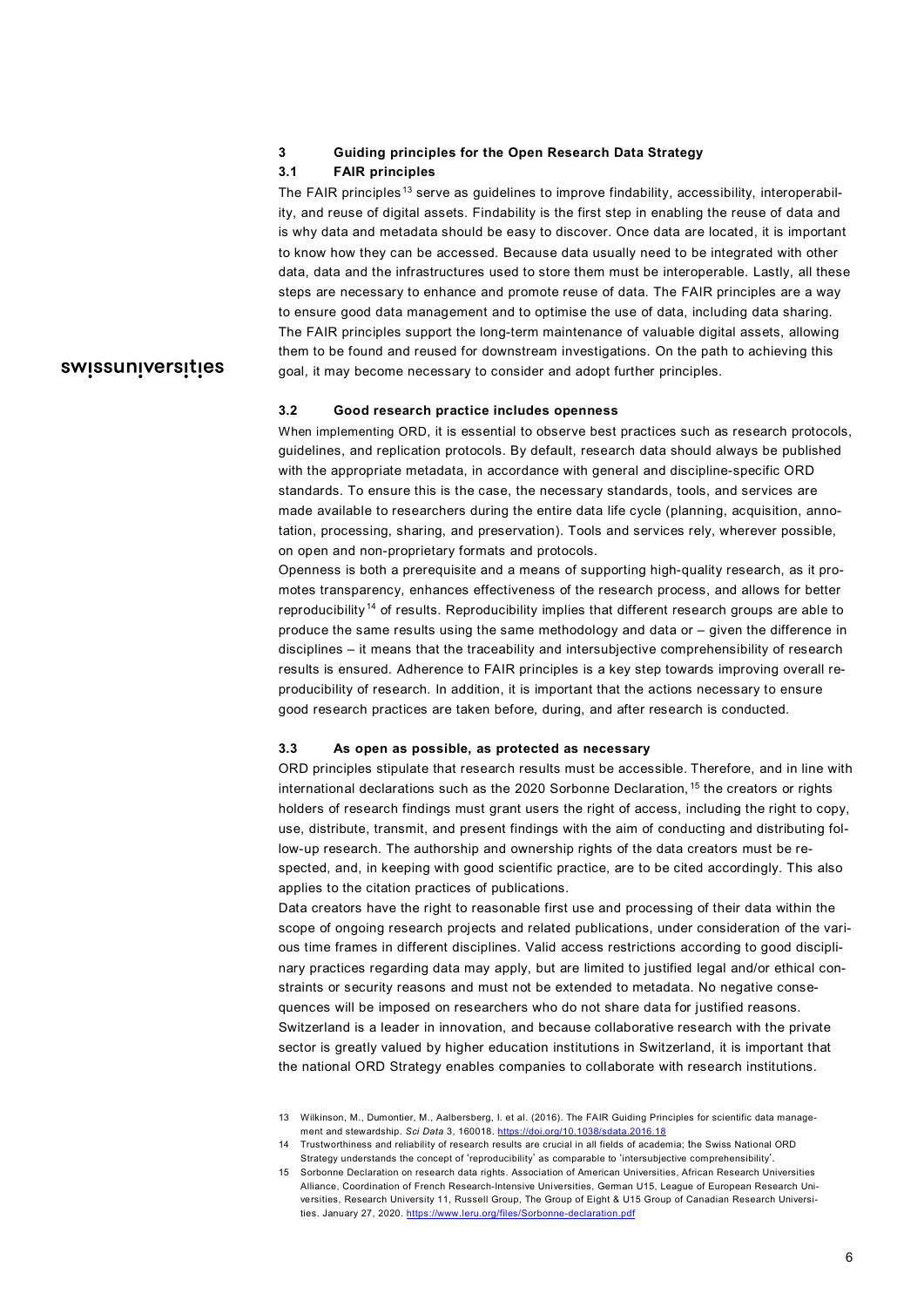#### <span id="page-5-0"></span>**3 Guiding principles for the Open Research Data Strategy**

#### <span id="page-5-1"></span>**3.1 FAIR principles**

The FAIR principles<sup>[13](#page-5-4)</sup> serve as guidelines to improve findability, accessibility, interoperability, and reuse of digital assets. Findability is the first step in enabling the reuse of data and is why data and metadata should be easy to discover. Once data are located, it is important to know how they can be accessed. Because data usually need to be integrated with other data, data and the infrastructures used to store them must be interoperable. Lastly, all these steps are necessary to enhance and promote reuse of data. The FAIR principles are a way to ensure good data management and to optimise the use of data, including data sharing. The FAIR principles support the long-term maintenance of valuable digital assets, allowing them to be found and reused for downstream investigations. On the path to achieving this goal, it may become necessary to consider and adopt further principles.

# swissuniversities

#### <span id="page-5-2"></span>**3.2 Good research practice includes openness**

When implementing ORD, it is essential to observe best practices such as research protocols, guidelines, and replication protocols. By default, research data should always be published with the appropriate metadata, in accordance with general and discipline-specific ORD standards. To ensure this is the case, the necessary standards, tools, and services are made available to researchers during the entire data life cycle (planning, acquisition, annotation, processing, sharing, and preservation). Tools and services rely, wherever possible, on open and non-proprietary formats and protocols.

Openness is both a prerequisite and a means of supporting high-quality research, as it promotes transparency, enhances effectiveness of the research process, and allows for better reproducibility [14](#page-5-5) of results. Reproducibility implies that different research groups are able to produce the same results using the same methodology and data or – given the difference in disciplines – it means that the traceability and intersubjective comprehensibility of research results is ensured. Adherence to FAIR principles is a key step towards improving overall reproducibility of research. In addition, it is important that the actions necessary to ensure good research practices are taken before, during, and after research is conducted.

#### <span id="page-5-3"></span>**3.3 As open as possible, as protected as necessary**

ORD principles stipulate that research results must be accessible. Therefore, and in line with international declarations such as the 2020 Sorbonne Declaration, [15](#page-5-6) the creators or rights holders of research findings must grant users the right of access, including the right to copy, use, distribute, transmit, and present findings with the aim of conducting and distributing follow-up research. The authorship and ownership rights of the data creators must be respected, and, in keeping with good scientific practice, are to be cited accordingly. This also applies to the citation practices of publications.

Data creators have the right to reasonable first use and processing of their data within the scope of ongoing research projects and related publications, under consideration of the various time frames in different disciplines. Valid access restrictions according to good disciplinary practices regarding data may apply, but are limited to justified legal and/or ethical constraints or security reasons and must not be extended to metadata. No negative consequences will be imposed on researchers who do not share data for justified reasons. Switzerland is a leader in innovation, and because collaborative research with the private sector is greatly valued by higher education institutions in Switzerland, it is important that the national ORD Strategy enables companies to collaborate with research institutions.

<sup>13</sup> Wilkinson, M., Dumontier, M., Aalbersberg, I. et al. (2016). The FAIR Guiding Principles for scientific data management and stewardship. *Sci Data* 3, 160018[. https://doi.org/10.1038/sdata.2016.18](https://doi.org/10.1038/sdata.2016.18)

<span id="page-5-6"></span><span id="page-5-5"></span><span id="page-5-4"></span><sup>14</sup> Trustworthiness and reliability of research results are crucial in all fields of academia; the Swiss National ORD Strategy understands the concept of 'reproducibility' as comparable to 'intersubjective comprehensibility'.

<sup>15</sup> Sorbonne Declaration on research data rights. Association of American Universities, African Research Universities Alliance, Coordination of French Research-Intensive Universities, German U15, League of European Research Universities, Research University 11, Russell Group, The Group of Eight & U15 Group of Canadian Research Universities. January 27, 2020. https://www.leru.org/files/Sorbo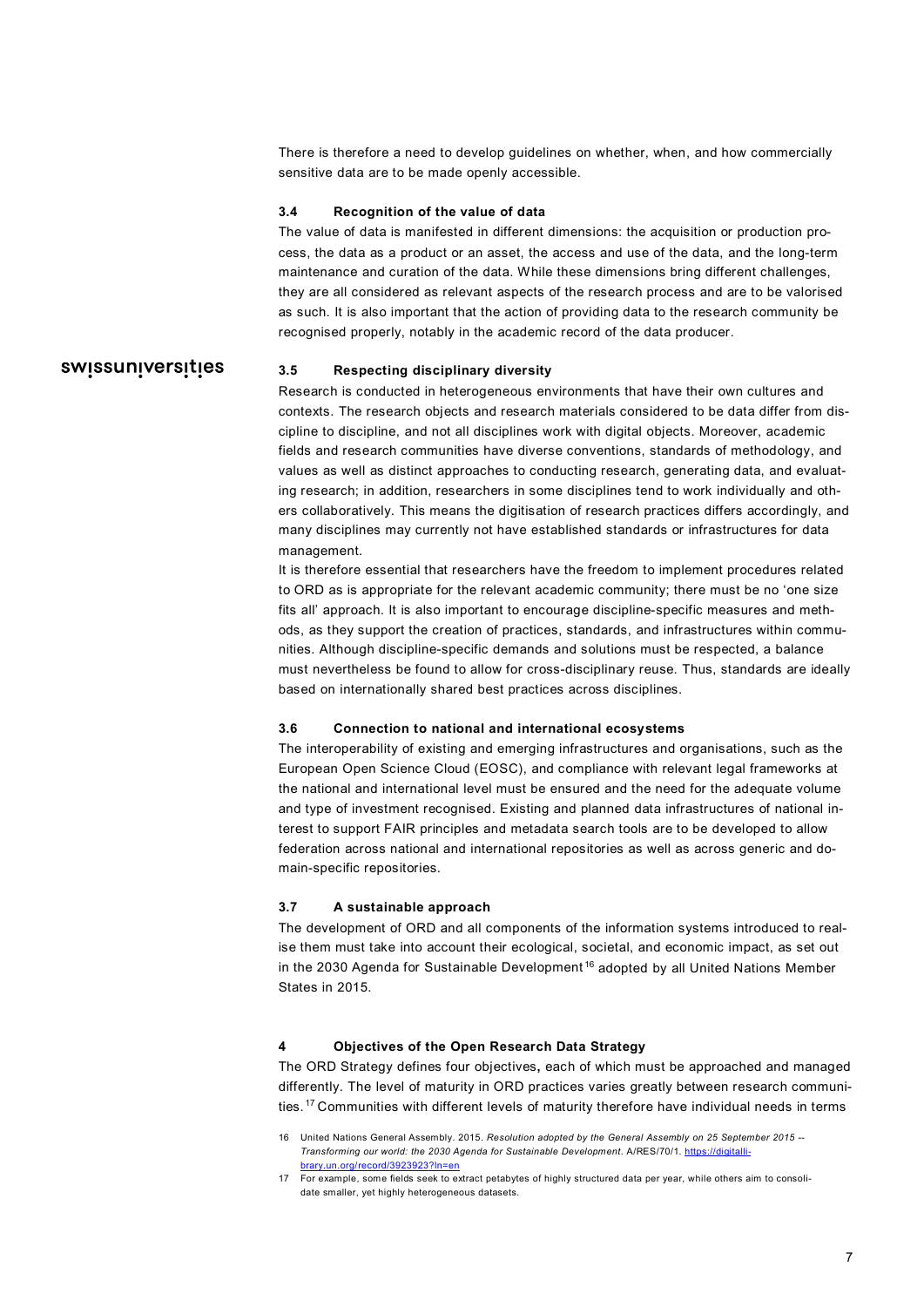There is therefore a need to develop guidelines on whether, when, and how commercially sensitive data are to be made openly accessible.

#### <span id="page-6-0"></span>**3.4 Recognition of the value of data**

The value of data is manifested in different dimensions: the acquisition or production process, the data as a product or an asset, the access and use of the data, and the long-term maintenance and curation of the data. While these dimensions bring different challenges, they are all considered as relevant aspects of the research process and are to be valorised as such. It is also important that the action of providing data to the research community be recognised properly, notably in the academic record of the data producer.

## swissuniversities

#### <span id="page-6-1"></span>**3.5 Respecting disciplinary diversity**

Research is conducted in heterogeneous environments that have their own cultures and contexts. The research objects and research materials considered to be data differ from discipline to discipline, and not all disciplines work with digital objects. Moreover, academic fields and research communities have diverse conventions, standards of methodology, and values as well as distinct approaches to conducting research, generating data, and evaluating research; in addition, researchers in some disciplines tend to work individually and others collaboratively. This means the digitisation of research practices differs accordingly, and many disciplines may currently not have established standards or infrastructures for data management.

It is therefore essential that researchers have the freedom to implement procedures related to ORD as is appropriate for the relevant academic community; there must be no 'one size fits all' approach. It is also important to encourage discipline-specific measures and methods, as they support the creation of practices, standards, and infrastructures within communities. Although discipline-specific demands and solutions must be respected, a balance must nevertheless be found to allow for cross-disciplinary reuse. Thus, standards are ideally based on internationally shared best practices across disciplines.

#### <span id="page-6-2"></span>**3.6 Connection to national and international ecosystems**

The interoperability of existing and emerging infrastructures and organisations, such as the European Open Science Cloud (EOSC), and compliance with relevant legal frameworks at the national and international level must be ensured and the need for the adequate volume and type of investment recognised. Existing and planned data infrastructures of national interest to support FAIR principles and metadata search tools are to be developed to allow federation across national and international repositories as well as across generic and domain-specific repositories.

#### <span id="page-6-3"></span>**3.7 A sustainable approach**

The development of ORD and all components of the information systems introduced to realise them must take into account their ecological, societal, and economic impact, as set out in the 2030 Agenda for Sustainable Development<sup>[16](#page-6-5)</sup> adopted by all United Nations Member States in 2015.

#### <span id="page-6-4"></span>**4 Objectives of the Open Research Data Strategy**

The ORD Strategy defines four objectives**,** each of which must be approached and managed differently. The level of maturity in ORD practices varies greatly between research communities. [17](#page-6-6) Communities with different levels of maturity therefore have individual needs in terms

<span id="page-6-5"></span><sup>16</sup> United Nations General Assembly. 2015. *Resolution adopted by the General Assembly on 25 September 2015 -- Transforming our world: the 2030 Agenda for Sustainable Development*. A/RES/70/1[. https://digitalli](https://digitallibrary.un.org/record/3923923?ln=en)[brary.un.org/record/3923923?ln=en](https://digitallibrary.un.org/record/3923923?ln=en)

<span id="page-6-6"></span><sup>17</sup> For example, some fields seek to extract petabytes of highly structured data per year, while others aim to consolidate smaller, yet highly heterogeneous datasets.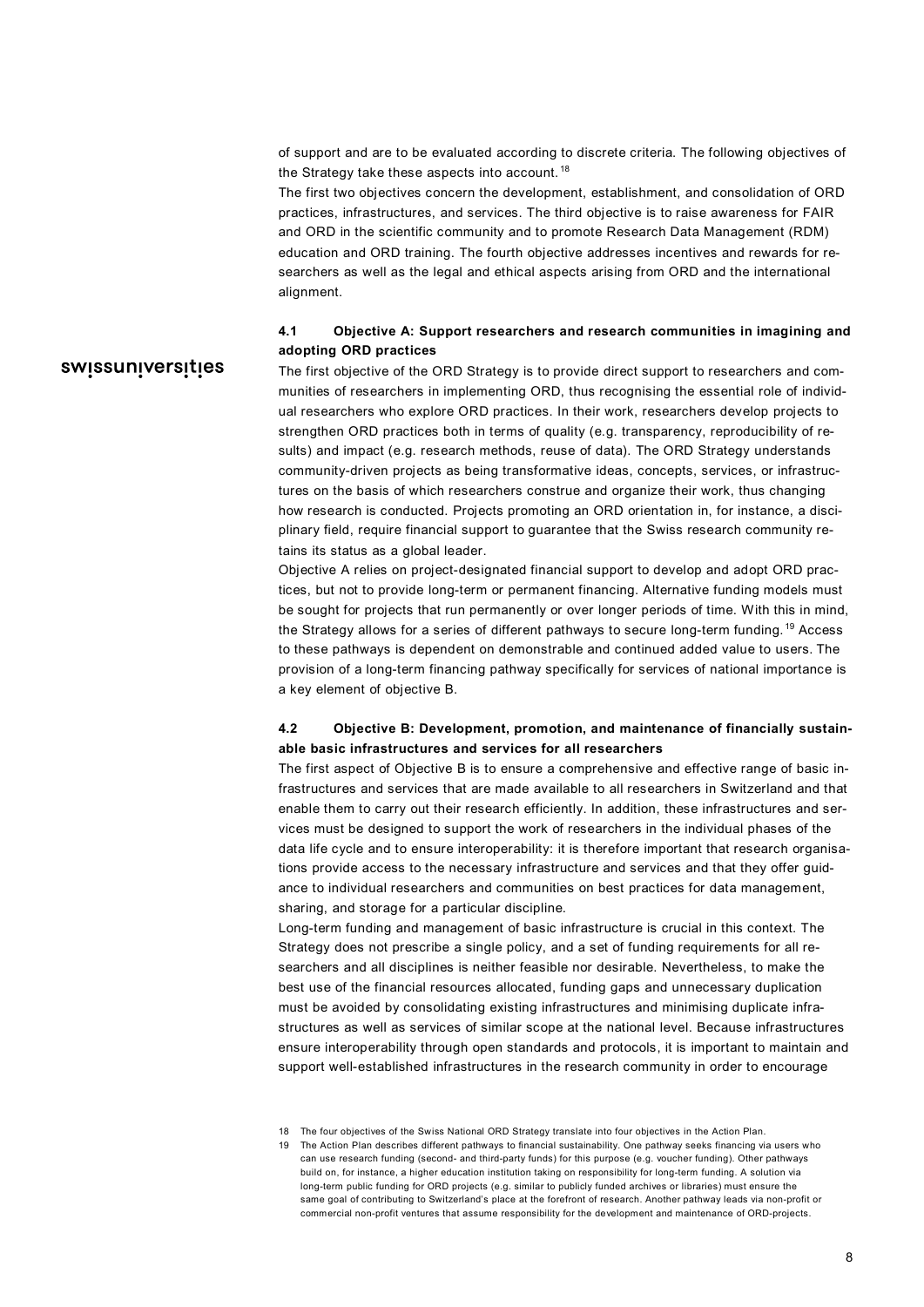of support and are to be evaluated according to discrete criteria. The following objectives of the Strategy take these aspects into account.<sup>[18](#page-7-2)</sup>

The first two objectives concern the development, establishment, and consolidation of ORD practices, infrastructures, and services. The third objective is to raise awareness for FAIR and ORD in the scientific community and to promote Research Data Management (RDM) education and ORD training. The fourth objective addresses incentives and rewards for researchers as well as the legal and ethical aspects arising from ORD and the international alignment.

#### <span id="page-7-0"></span>**4.1 Objective A: Support researchers and research communities in imagining and adopting ORD practices**

# swissuniversities

The first objective of the ORD Strategy is to provide direct support to researchers and communities of researchers in implementing ORD, thus recognising the essential role of individual researchers who explore ORD practices. In their work, researchers develop projects to strengthen ORD practices both in terms of quality (e.g. transparency, reproducibility of results) and impact (e.g. research methods, reuse of data). The ORD Strategy understands community-driven projects as being transformative ideas, concepts, services, or infrastructures on the basis of which researchers construe and organize their work, thus changing how research is conducted. Projects promoting an ORD orientation in, for instance, a disciplinary field, require financial support to guarantee that the Swiss research community retains its status as a global leader.

Objective A relies on project-designated financial support to develop and adopt ORD practices, but not to provide long-term or permanent financing. Alternative funding models must be sought for projects that run permanently or over longer periods of time. With this in mind, the Strategy allows for a series of different pathways to secure long-term funding. [19](#page-7-3) Access to these pathways is dependent on demonstrable and continued added value to users. The provision of a long-term financing pathway specifically for services of national importance is a key element of objective B.

## <span id="page-7-1"></span>**4.2 Objective B: Development, promotion, and maintenance of financially sustainable basic infrastructures and services for all researchers**

The first aspect of Objective B is to ensure a comprehensive and effective range of basic infrastructures and services that are made available to all researchers in Switzerland and that enable them to carry out their research efficiently. In addition, these infrastructures and services must be designed to support the work of researchers in the individual phases of the data life cycle and to ensure interoperability: it is therefore important that research organisations provide access to the necessary infrastructure and services and that they offer guidance to individual researchers and communities on best practices for data management, sharing, and storage for a particular discipline.

Long-term funding and management of basic infrastructure is crucial in this context. The Strategy does not prescribe a single policy, and a set of funding requirements for all researchers and all disciplines is neither feasible nor desirable. Nevertheless, to make the best use of the financial resources allocated, funding gaps and unnecessary duplication must be avoided by consolidating existing infrastructures and minimising duplicate infrastructures as well as services of similar scope at the national level. Because infrastructures ensure interoperability through open standards and protocols, it is important to maintain and support well-established infrastructures in the research community in order to encourage

<span id="page-7-2"></span><sup>18</sup> The four objectives of the Swiss National ORD Strategy translate into four objectives in the Action Plan.

<span id="page-7-3"></span><sup>19</sup> The Action Plan describes different pathways to financial sustainability. One pathway seeks financing via users who can use research funding (second- and third-party funds) for this purpose (e.g. voucher funding). Other pathways build on, for instance, a higher education institution taking on responsibility for long-term funding. A solution via long-term public funding for ORD projects (e.g. similar to publicly funded archives or libraries) must ensure the same goal of contributing to Switzerland's place at the forefront of research. Another pathway leads via non-profit or commercial non-profit ventures that assume responsibility for the development and maintenance of ORD-projects.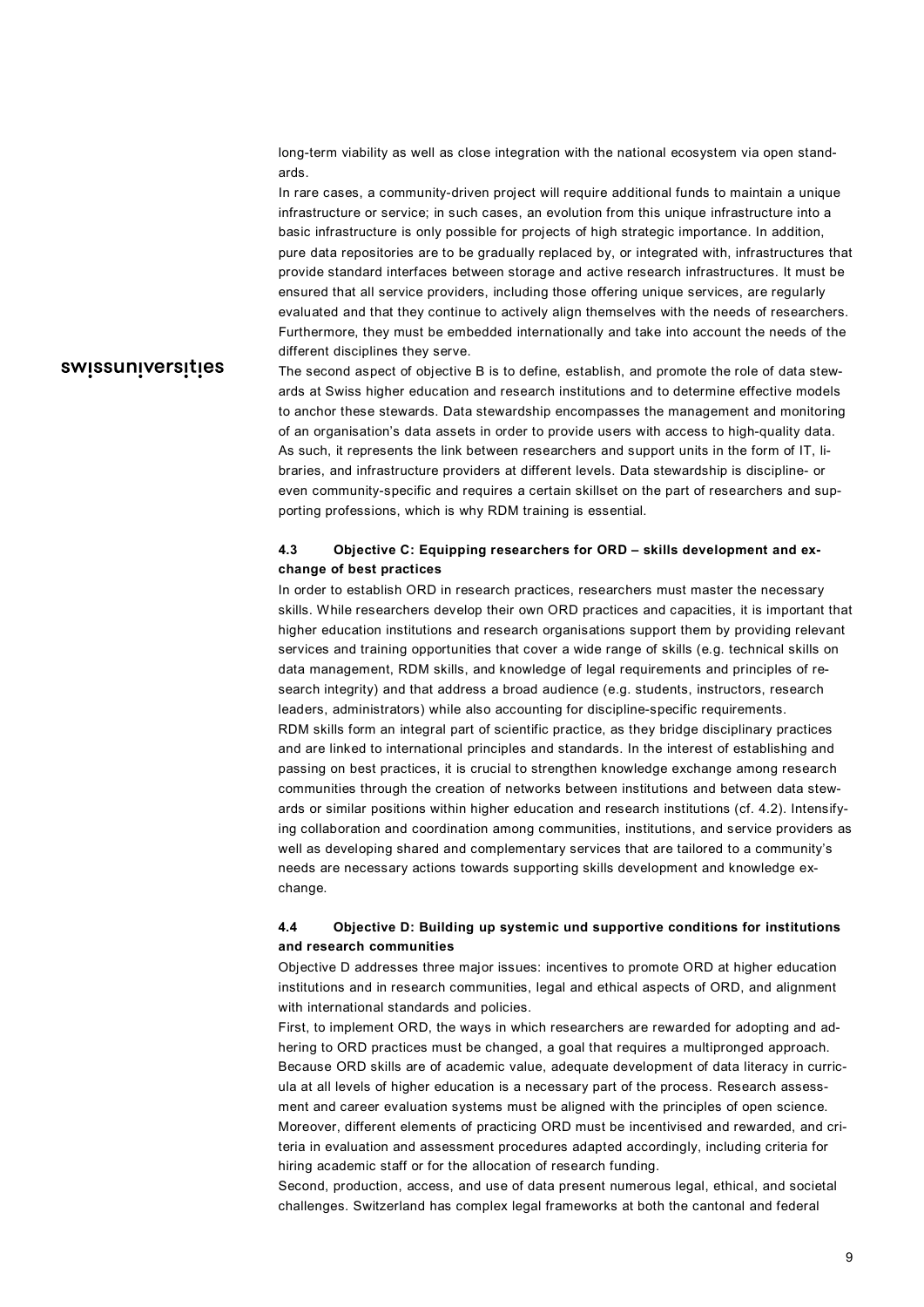long-term viability as well as close integration with the national ecosystem via open standards.

In rare cases, a community-driven project will require additional funds to maintain a unique infrastructure or service; in such cases, an evolution from this unique infrastructure into a basic infrastructure is only possible for projects of high strategic importance. In addition, pure data repositories are to be gradually replaced by, or integrated with, infrastructures that provide standard interfaces between storage and active research infrastructures. It must be ensured that all service providers, including those offering unique services, are regularly evaluated and that they continue to actively align themselves with the needs of researchers. Furthermore, they must be embedded internationally and take into account the needs of the different disciplines they serve.

# swissuniversities

The second aspect of objective B is to define, establish, and promote the role of data stewards at Swiss higher education and research institutions and to determine effective models to anchor these stewards. Data stewardship encompasses the management and monitoring of an organisation's data assets in order to provide users with access to high-quality data. As such, it represents the link between researchers and support units in the form of IT, libraries, and infrastructure providers at different levels. Data stewardship is discipline- or even community-specific and requires a certain skillset on the part of researchers and supporting professions, which is why RDM training is essential.

## <span id="page-8-0"></span>**4.3 Objective C: Equipping researchers for ORD – skills development and exchange of best practices**

In order to establish ORD in research practices, researchers must master the necessary skills. While researchers develop their own ORD practices and capacities, it is important that higher education institutions and research organisations support them by providing relevant services and training opportunities that cover a wide range of skills (e.g. technical skills on data management, RDM skills, and knowledge of legal requirements and principles of research integrity) and that address a broad audience (e.g. students, instructors, research leaders, administrators) while also accounting for discipline-specific requirements. RDM skills form an integral part of scientific practice, as they bridge disciplinary practices and are linked to international principles and standards. In the interest of establishing and passing on best practices, it is crucial to strengthen knowledge exchange among research communities through the creation of networks between institutions and between data stewards or similar positions within higher education and research institutions (cf. 4.2). Intensifying collaboration and coordination among communities, institutions, and service providers as well as developing shared and complementary services that are tailored to a community's needs are necessary actions towards supporting skills development and knowledge exchange.

#### <span id="page-8-1"></span>**4.4 Objective D: Building up systemic und supportive conditions for institutions and research communities**

Objective D addresses three major issues: incentives to promote ORD at higher education institutions and in research communities, legal and ethical aspects of ORD, and alignment with international standards and policies.

First, to implement ORD, the ways in which researchers are rewarded for adopting and adhering to ORD practices must be changed, a goal that requires a multipronged approach. Because ORD skills are of academic value, adequate development of data literacy in curricula at all levels of higher education is a necessary part of the process. Research assessment and career evaluation systems must be aligned with the principles of open science. Moreover, different elements of practicing ORD must be incentivised and rewarded, and criteria in evaluation and assessment procedures adapted accordingly, including criteria for hiring academic staff or for the allocation of research funding.

Second, production, access, and use of data present numerous legal, ethical, and societal challenges. Switzerland has complex legal frameworks at both the cantonal and federal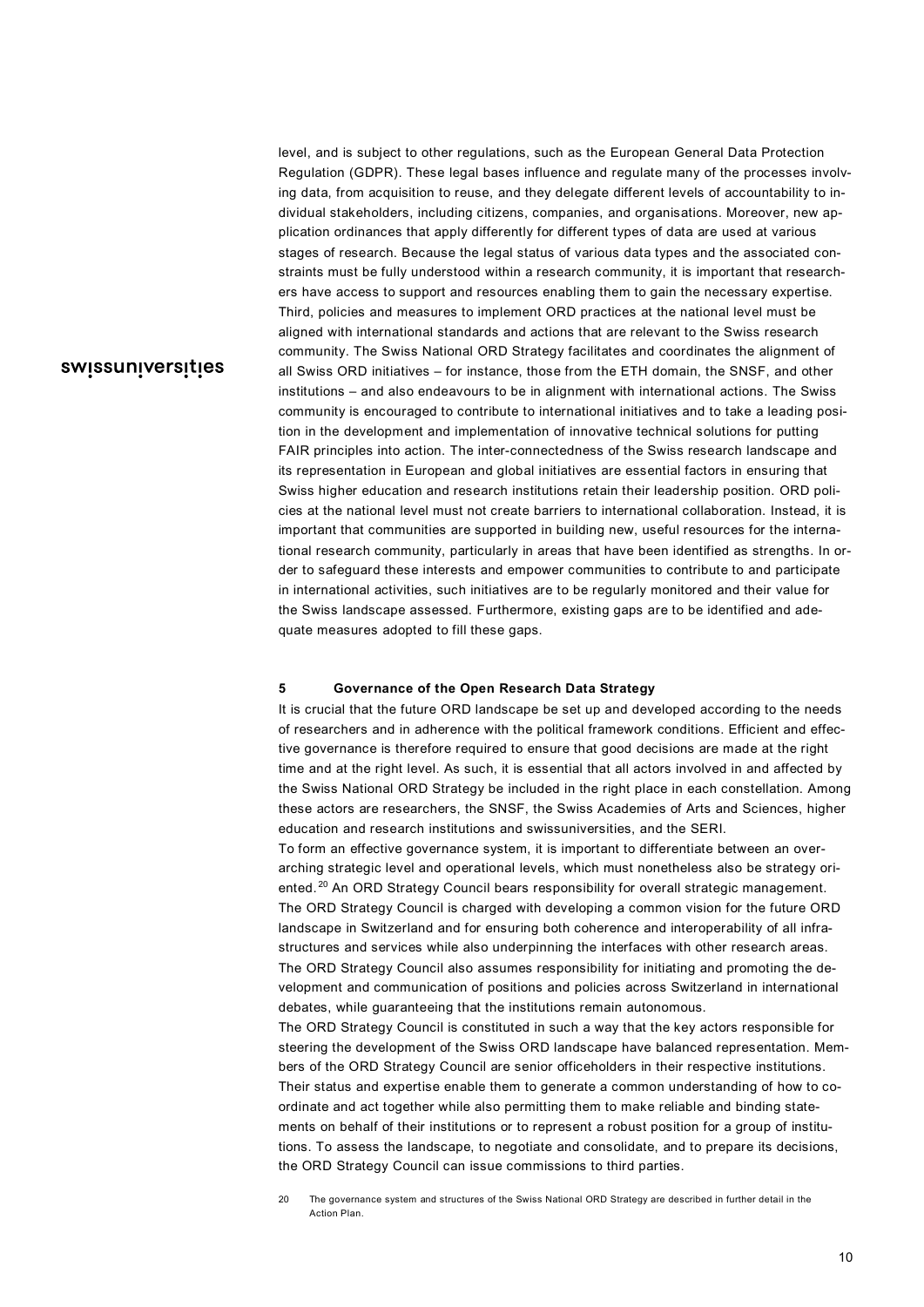level, and is subject to other regulations, such as the European General Data Protection Regulation (GDPR). These legal bases influence and regulate many of the processes involving data, from acquisition to reuse, and they delegate different levels of accountability to individual stakeholders, including citizens, companies, and organisations. Moreover, new application ordinances that apply differently for different types of data are used at various stages of research. Because the legal status of various data types and the associated constraints must be fully understood within a research community, it is important that researchers have access to support and resources enabling them to gain the necessary expertise. Third, policies and measures to implement ORD practices at the national level must be aligned with international standards and actions that are relevant to the Swiss research community. The Swiss National ORD Strategy facilitates and coordinates the alignment of all Swiss ORD initiatives – for instance, those from the ETH domain, the SNSF, and other institutions – and also endeavours to be in alignment with international actions. The Swiss community is encouraged to contribute to international initiatives and to take a leading position in the development and implementation of innovative technical solutions for putting FAIR principles into action. The inter-connectedness of the Swiss research landscape and its representation in European and global initiatives are essential factors in ensuring that Swiss higher education and research institutions retain their leadership position. ORD policies at the national level must not create barriers to international collaboration. Instead, it is important that communities are supported in building new, useful resources for the international research community, particularly in areas that have been identified as strengths. In order to safeguard these interests and empower communities to contribute to and participate in international activities, such initiatives are to be regularly monitored and their value for the Swiss landscape assessed. Furthermore, existing gaps are to be identified and adequate measures adopted to fill these gaps.

#### <span id="page-9-0"></span>**5 Governance of the Open Research Data Strategy**

It is crucial that the future ORD landscape be set up and developed according to the needs of researchers and in adherence with the political framework conditions. Efficient and effective governance is therefore required to ensure that good decisions are made at the right time and at the right level. As such, it is essential that all actors involved in and affected by the Swiss National ORD Strategy be included in the right place in each constellation. Among these actors are researchers, the SNSF, the Swiss Academies of Arts and Sciences, higher education and research institutions and swissuniversities, and the SERI.

To form an effective governance system, it is important to differentiate between an overarching strategic level and operational levels, which must nonetheless also be strategy ori-ented.<sup>[20](#page-9-1)</sup> An ORD Strategy Council bears responsibility for overall strategic management. The ORD Strategy Council is charged with developing a common vision for the future ORD landscape in Switzerland and for ensuring both coherence and interoperability of all infrastructures and services while also underpinning the interfaces with other research areas. The ORD Strategy Council also assumes responsibility for initiating and promoting the development and communication of positions and policies across Switzerland in international debates, while guaranteeing that the institutions remain autonomous.

The ORD Strategy Council is constituted in such a way that the key actors responsible for steering the development of the Swiss ORD landscape have balanced representation. Members of the ORD Strategy Council are senior officeholders in their respective institutions. Their status and expertise enable them to generate a common understanding of how to coordinate and act together while also permitting them to make reliable and binding statements on behalf of their institutions or to represent a robust position for a group of institutions. To assess the landscape, to negotiate and consolidate, and to prepare its decisions, the ORD Strategy Council can issue commissions to third parties.

<span id="page-9-1"></span>20 The governance system and structures of the Swiss National ORD Strategy are described in further detail in the Action Plan.